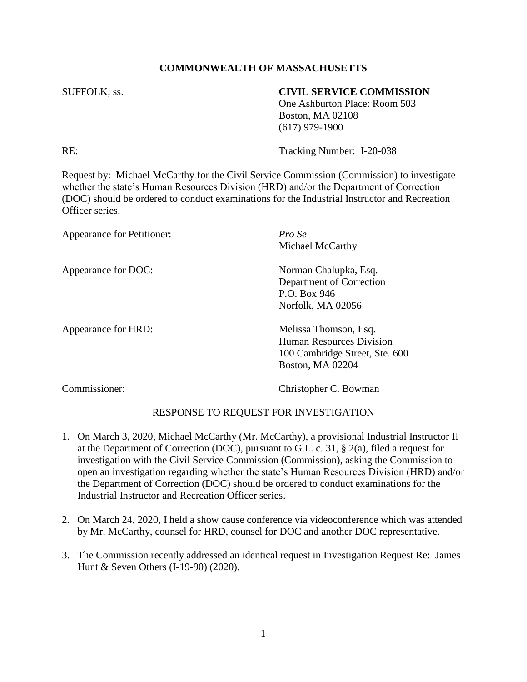# **COMMONWEALTH OF MASSACHUSETTS**

### SUFFOLK, ss. **CIVIL SERVICE COMMISSION**

One Ashburton Place: Room 503 Boston, MA 02108 (617) 979-1900

RE: Tracking Number: I-20-038

Request by: Michael McCarthy for the Civil Service Commission (Commission) to investigate whether the state's Human Resources Division (HRD) and/or the Department of Correction (DOC) should be ordered to conduct examinations for the Industrial Instructor and Recreation Officer series.

| Appearance for Petitioner: | Pro Se<br>Michael McCarthy                                                                                     |
|----------------------------|----------------------------------------------------------------------------------------------------------------|
| Appearance for DOC:        | Norman Chalupka, Esq.<br>Department of Correction<br>P.O. Box 946<br>Norfolk, MA 02056                         |
| Appearance for HRD:        | Melissa Thomson, Esq.<br><b>Human Resources Division</b><br>100 Cambridge Street, Ste. 600<br>Boston, MA 02204 |

Commissioner: Christopher C. Bowman

## RESPONSE TO REQUEST FOR INVESTIGATION

- 1. On March 3, 2020, Michael McCarthy (Mr. McCarthy), a provisional Industrial Instructor II at the Department of Correction (DOC), pursuant to G.L. c. 31, § 2(a), filed a request for investigation with the Civil Service Commission (Commission), asking the Commission to open an investigation regarding whether the state's Human Resources Division (HRD) and/or the Department of Correction (DOC) should be ordered to conduct examinations for the Industrial Instructor and Recreation Officer series.
- 2. On March 24, 2020, I held a show cause conference via videoconference which was attended by Mr. McCarthy, counsel for HRD, counsel for DOC and another DOC representative.
- 3. The Commission recently addressed an identical request in Investigation Request Re: James Hunt & Seven Others (I-19-90) (2020).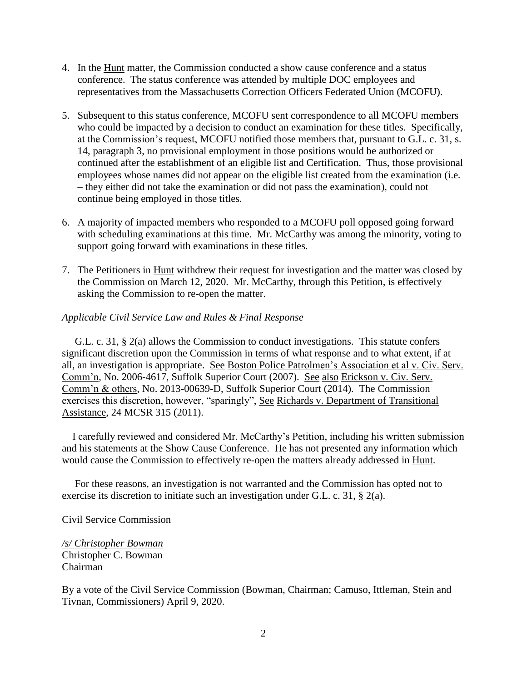- 4. In the Hunt matter, the Commission conducted a show cause conference and a status conference. The status conference was attended by multiple DOC employees and representatives from the Massachusetts Correction Officers Federated Union (MCOFU).
- 5. Subsequent to this status conference, MCOFU sent correspondence to all MCOFU members who could be impacted by a decision to conduct an examination for these titles. Specifically, at the Commission's request, MCOFU notified those members that, pursuant to G.L. c. 31, s. 14, paragraph 3, no provisional employment in those positions would be authorized or continued after the establishment of an eligible list and Certification. Thus, those provisional employees whose names did not appear on the eligible list created from the examination (i.e. – they either did not take the examination or did not pass the examination), could not continue being employed in those titles.
- 6. A majority of impacted members who responded to a MCOFU poll opposed going forward with scheduling examinations at this time. Mr. McCarthy was among the minority, voting to support going forward with examinations in these titles.
- 7. The Petitioners in Hunt withdrew their request for investigation and the matter was closed by the Commission on March 12, 2020. Mr. McCarthy, through this Petition, is effectively asking the Commission to re-open the matter.

### *Applicable Civil Service Law and Rules & Final Response*

 G.L. c. 31, § 2(a) allows the Commission to conduct investigations. This statute confers significant discretion upon the Commission in terms of what response and to what extent, if at all, an investigation is appropriate. See Boston Police Patrolmen's Association et al v. Civ. Serv. Comm'n, No. 2006-4617, Suffolk Superior Court (2007). See also Erickson v. Civ. Serv. Comm'n & others, No. 2013-00639-D, Suffolk Superior Court (2014). The Commission exercises this discretion, however, "sparingly", See Richards v. Department of Transitional Assistance, 24 MCSR 315 (2011).

 I carefully reviewed and considered Mr. McCarthy's Petition, including his written submission and his statements at the Show Cause Conference. He has not presented any information which would cause the Commission to effectively re-open the matters already addressed in Hunt.

 For these reasons, an investigation is not warranted and the Commission has opted not to exercise its discretion to initiate such an investigation under G.L. c. 31, § 2(a).

### Civil Service Commission

*/s/ Christopher Bowman* Christopher C. Bowman Chairman

By a vote of the Civil Service Commission (Bowman, Chairman; Camuso, Ittleman, Stein and Tivnan, Commissioners) April 9, 2020.